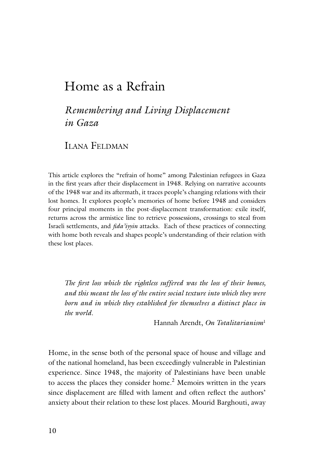# Home as a Refrain

*Remembering and Living Displacement in Gaza*

## Ilana Feldman

This article explores the "refrain of home" among Palestinian refugees in Gaza in the first years after their displacement in 1948. Relying on narrative accounts of the 1948 war and its aftermath, it traces people's changing relations with their lost homes. It explores people's memories of home before 1948 and considers four principal moments in the post-displacement transformation: exile itself, returns across the armistice line to retrieve possessions, crossings to steal from Israeli settlements, and *fida'iyyin* attacks. Each of these practices of connecting with home both reveals and shapes people's understanding of their relation with these lost places.

*The first loss which the rightless suffered was the loss of their homes, and this meant the loss of the entire social texture into which they were born and in which they established for themselves a distinct place in the world.* 

Hannah Arendt, *On Totalitarianism*<sup>1</sup>

Home, in the sense both of the personal space of house and village and of the national homeland, has been exceedingly vulnerable in Palestinian experience. Since 1948, the majority of Palestinians have been unable to access the places they consider home.<sup>2</sup> Memoirs written in the years since displacement are filled with lament and often reflect the authors' anxiety about their relation to these lost places. Mourid Barghouti, away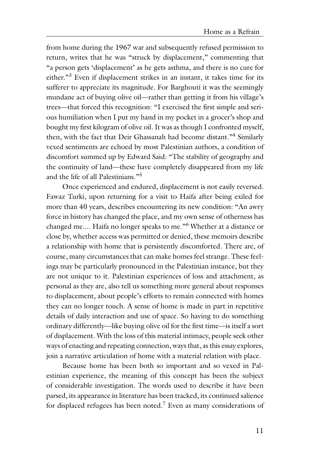from home during the 1967 war and subsequently refused permission to return, writes that he was "struck by displacement," commenting that "a person gets 'displacement' as he gets asthma, and there is no cure for either."<sup>3</sup> Even if displacement strikes in an instant, it takes time for its sufferer to appreciate its magnitude. For Barghouti it was the seemingly mundane act of buying olive oil—rather than getting it from his village's trees—that forced this recognition: "I exercised the first simple and serious humiliation when I put my hand in my pocket in a grocer's shop and bought my first kilogram of olive oil. It was as though I confronted myself, then, with the fact that Deir Ghassanah had become distant."<sup>4</sup> Similarly vexed sentiments are echoed by most Palestinian authors, a condition of discomfort summed up by Edward Said: "The stability of geography and the continuity of land—these have completely disappeared from my life and the life of all Palestinians."5

Once experienced and endured, displacement is not easily reversed. Fawaz Turki, upon returning for a visit to Haifa after being exiled for more than 40 years, describes encountering its new condition: "An awry force in history has changed the place, and my own sense of otherness has changed me.... Haifa no longer speaks to me."<sup>6</sup> Whether at a distance or close by, whether access was permitted or denied, these memoirs describe a relationship with home that is persistently discomforted. There are, of course, many circumstances that can make homes feel strange. These feelings may be particularly pronounced in the Palestinian instance, but they are not unique to it. Palestinian experiences of loss and attachment, as personal as they are, also tell us something more general about responses to displacement, about people's efforts to remain connected with homes they can no longer touch. A sense of home is made in part in repetitive details of daily interaction and use of space. So having to do something ordinary differently—like buying olive oil for the first time—is itself a sort of displacement. With the loss of this material intimacy, people seek other ways of enacting and repeating connection, ways that, as this essay explores, join a narrative articulation of home with a material relation with place.

Because home has been both so important and so vexed in Palestinian experience, the meaning of this concept has been the subject of considerable investigation. The words used to describe it have been parsed, its appearance in literature has been tracked, its continued salience for displaced refugees has been noted.<sup>7</sup> Even as many considerations of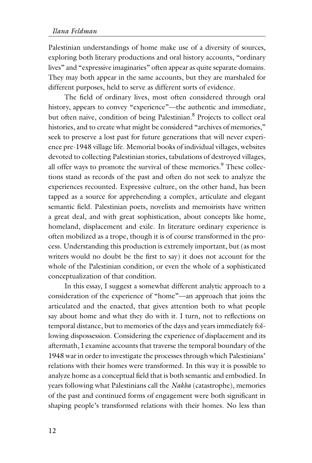Palestinian understandings of home make use of a diversity of sources, exploring both literary productions and oral history accounts, "ordinary lives" and "expressive imaginaries" often appear as quite separate domains. They may both appear in the same accounts, but they are marshaled for different purposes, held to serve as different sorts of evidence.

The field of ordinary lives, most often considered through oral history, appears to convey "experience"—the authentic and immediate, but often naive, condition of being Palestinian.<sup>8</sup> Projects to collect oral histories, and to create what might be considered "archives of memories," seek to preserve a lost past for future generations that will never experience pre-1948 village life. Memorial books of individual villages, websites devoted to collecting Palestinian stories, tabulations of destroyed villages, all offer ways to promote the survival of these memories.<sup>9</sup> These collections stand as records of the past and often do not seek to analyze the experiences recounted. Expressive culture, on the other hand, has been tapped as a source for apprehending a complex, articulate and elegant semantic field. Palestinian poets, novelists and memoirists have written a great deal, and with great sophistication, about concepts like home, homeland, displacement and exile. In literature ordinary experience is often mobilized as a trope, though it is of course transformed in the process. Understanding this production is extremely important, but (as most writers would no doubt be the first to say) it does not account for the whole of the Palestinian condition, or even the whole of a sophisticated conceptualization of that condition.

In this essay, I suggest a somewhat different analytic approach to a consideration of the experience of "home"—an approach that joins the articulated and the enacted, that gives attention both to what people say about home and what they do with it. I turn, not to reflections on temporal distance, but to memories of the days and years immediately following dispossession. Considering the experience of displacement and its aftermath, I examine accounts that traverse the temporal boundary of the 1948 war in order to investigate the processes through which Palestinians' relations with their homes were transformed. In this way it is possible to analyze home as a conceptual field that is both semantic and embodied. In years following what Palestinians call the *Nakba* (catastrophe), memories of the past and continued forms of engagement were both significant in shaping people's transformed relations with their homes. No less than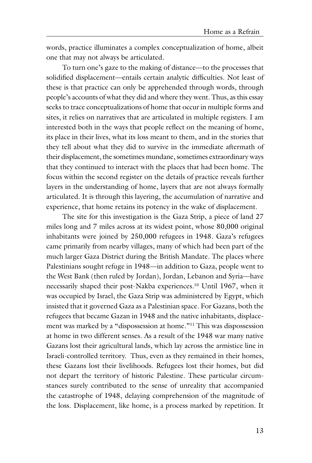words, practice illuminates a complex conceptualization of home, albeit one that may not always be articulated.

To turn one's gaze to the making of distance—to the processes that solidified displacement—entails certain analytic difficulties. Not least of these is that practice can only be apprehended through words, through people's accounts of what they did and where they went. Thus, as this essay seeks to trace conceptualizations of home that occur in multiple forms and sites, it relies on narratives that are articulated in multiple registers. I am interested both in the ways that people reflect on the meaning of home, its place in their lives, what its loss meant to them, and in the stories that they tell about what they did to survive in the immediate aftermath of their displacement, the sometimes mundane, sometimes extraordinary ways that they continued to interact with the places that had been home. The focus within the second register on the details of practice reveals further layers in the understanding of home, layers that are not always formally articulated. It is through this layering, the accumulation of narrative and experience, that home retains its potency in the wake of displacement.

The site for this investigation is the Gaza Strip, a piece of land 27 miles long and 7 miles across at its widest point, whose 80,000 original inhabitants were joined by 250,000 refugees in 1948. Gaza's refugees came primarily from nearby villages, many of which had been part of the much larger Gaza District during the British Mandate. The places where Palestinians sought refuge in 1948—in addition to Gaza, people went to the West Bank (then ruled by Jordan), Jordan, Lebanon and Syria—have necessarily shaped their post-Nakba experiences.10 Until 1967, when it was occupied by Israel, the Gaza Strip was administered by Egypt, which insisted that it governed Gaza as a Palestinian space. For Gazans, both the refugees that became Gazan in 1948 and the native inhabitants, displacement was marked by a "dispossession at home."11 This was dispossession at home in two different senses. As a result of the 1948 war many native Gazans lost their agricultural lands, which lay across the armistice line in Israeli-controlled territory. Thus, even as they remained in their homes, these Gazans lost their livelihoods. Refugees lost their homes, but did not depart the territory of historic Palestine. These particular circumstances surely contributed to the sense of unreality that accompanied the catastrophe of 1948, delaying comprehension of the magnitude of the loss. Displacement, like home, is a process marked by repetition. It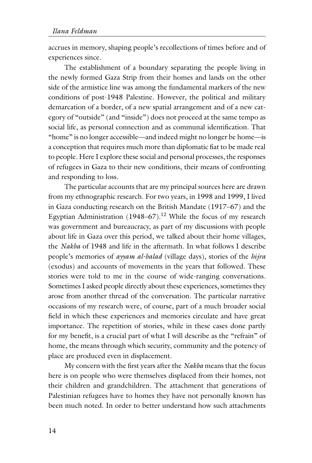accrues in memory, shaping people's recollections of times before and of experiences since.

The establishment of a boundary separating the people living in the newly formed Gaza Strip from their homes and lands on the other side of the armistice line was among the fundamental markers of the new conditions of post-1948 Palestine. However, the political and military demarcation of a border, of a new spatial arrangement and of a new cate egory of "outside" (and "inside") does not proceed at the same tempo as social life, as personal connection and as communal identification. That "home" is no longer accessible—and indeed might no longer be home—is a conception that requires much more than diplomatic fiat to be made real to people. Here I explore these social and personal processes, the responses of refugees in Gaza to their new conditions, their means of confronting and responding to loss.

The particular accounts that are my principal sources here are drawn from my ethnographic research. For two years, in 1998 and 1999, I lived in Gaza conducting research on the British Mandate (1917–67) and the Egyptian Administration  $(1948-67)$ .<sup>12</sup> While the focus of my research was government and bureaucracy, as part of my discussions with people about life in Gaza over this period, we talked about their home villages, the *Nakba* of 1948 and life in the aftermath. In what follows I describe people's memories of *ayyam al-balad* (village days), stories of the *hijra* (exodus) and accounts of movements in the years that followed. These stories were told to me in the course of wide-ranging conversations. Sometimes I asked people directly about these experiences, sometimes they arose from another thread of the conversation. The particular narrative occasions of my research were, of course, part of a much broader social field in which these experiences and memories circulate and have great importance. The repetition of stories, while in these cases done partly for my benefit, is a crucial part of what I will describe as the "refrain" of home, the means through which security, community and the potency of place are produced even in displacement.

My concern with the first years after the *Nakba* means that the focus here is on people who were themselves displaced from their homes, not their children and grandchildren. The attachment that generations of Palestinian refugees have to homes they have not personally known has been much noted. In order to better understand how such attachments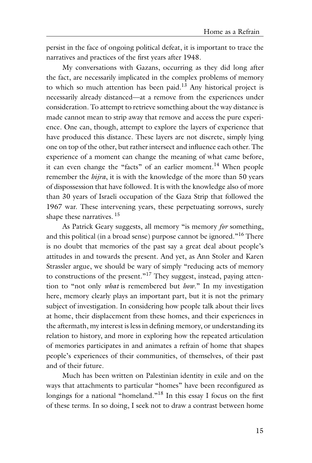persist in the face of ongoing political defeat, it is important to trace the narratives and practices of the first years after 1948.

My conversations with Gazans, occurring as they did long after the fact, are necessarily implicated in the complex problems of memory to which so much attention has been paid.<sup>13</sup> Any historical project is necessarily already distanced—at a remove from the experiences under consideration. To attempt to retrieve something about the way distance is made cannot mean to strip away that remove and access the pure experience. One can, though, attempt to explore the layers of experience that have produced this distance. These layers are not discrete, simply lying one on top of the other, but rather intersect and influence each other. The experience of a moment can change the meaning of what came before, it can even change the "facts" of an earlier moment.<sup>14</sup> When people remember the *hijra*, it is with the knowledge of the more than 50 years of dispossession that have followed. It is with the knowledge also of more than 30 years of Israeli occupation of the Gaza Strip that followed the 1967 war. These intervening years, these perpetuating sorrows, surely shape these narratives.<sup>15</sup>

As Patrick Geary suggests, all memory "is memory *for* something, and this political (in a broad sense) purpose cannot be ignored."<sup>16</sup> There is no doubt that memories of the past say a great deal about people's attitudes in and towards the present. And yet, as Ann Stoler and Karen Strassler argue, we should be wary of simply "reducing acts of memory to constructions of the present."<sup>17</sup> They suggest, instead, paying attention to "not only *what* is remembered but *how*." In my investigation here, memory clearly plays an important part, but it is not the primary subject of investigation. In considering how people talk about their lives at home, their displacement from these homes, and their experiences in the aftermath, my interest is less in defining memory, or understanding its relation to history, and more in exploring how the repeated articulation of memories participates in and animates a refrain of home that shapes people's experiences of their communities, of themselves, of their past and of their future.

Much has been written on Palestinian identity in exile and on the ways that attachments to particular "homes" have been reconfigured as longings for a national "homeland."<sup>18</sup> In this essay I focus on the first of these terms. In so doing, I seek not to draw a contrast between home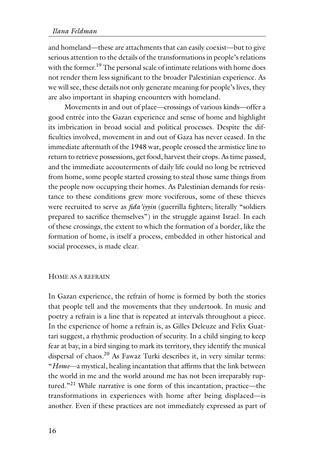and homeland—these are attachments that can easily coexist—but to give serious attention to the details of the transformations in people's relations with the former.<sup>19</sup> The personal scale of intimate relations with home does not render them less significant to the broader Palestinian experience. As we will see, these details not only generate meaning for people's lives, they are also important in shaping encounters with homeland.

Movements in and out of place—crossings of various kinds—offer a good entrée into the Gazan experience and sense of home and highlight its imbrication in broad social and political processes. Despite the diff ficulties involved, movement in and out of Gaza has never ceased. In the immediate aftermath of the 1948 war, people crossed the armistice line to return to retrieve possessions, get food, harvest their crops. As time passed, and the immediate accouterments of daily life could no long be retrieved from home, some people started crossing to steal those same things from the people now occupying their homes. As Palestinian demands for resistance to these conditions grew more vociferous, some of these thieves were recruited to serve as *fida'iyyin* (guerrilla fighters; literally "soldiers prepared to sacrifice themselves") in the struggle against Israel. In each of these crossings, the extent to which the formation of a border, like the formation of home, is itself a process, embedded in other historical and social processes, is made clear.

## Home as a refrain

In Gazan experience, the refrain of home is formed by both the stories that people tell and the movements that they undertook. In music and poetry a refrain is a line that is repeated at intervals throughout a piece. In the experience of home a refrain is, as Gilles Deleuze and Felix Guattari suggest, a rhythmic production of security. In a child singing to keep fear at bay, in a bird singing to mark its territory, they identify the musical dispersal of chaos.<sup>20</sup> As Fawaz Turki describes it, in very similar terms: "*Home*—a mystical, healing incantation that affirms that the link between the world in me and the world around me has not been irreparably ruptured."21 While narrative is one form of this incantation, practice—the transformations in experiences with home after being displaced—is another. Even if these practices are not immediately expressed as part of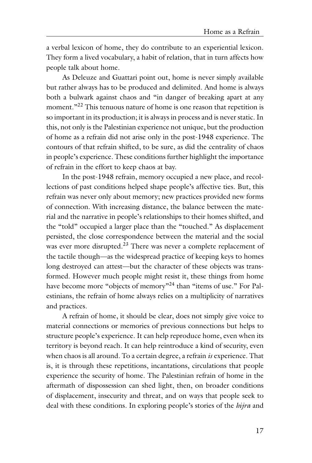a verbal lexicon of home, they do contribute to an experiential lexicon. They form a lived vocabulary, a habit of relation, that in turn affects how people talk about home.

As Deleuze and Guattari point out, home is never simply available but rather always has to be produced and delimited. And home is always both a bulwark against chaos and "in danger of breaking apart at any moment.<sup>"22</sup> This tenuous nature of home is one reason that repetition is so important in its production; it is always in process and is never static. In this, not only is the Palestinian experience not unique, but the production of home as a refrain did not arise only in the post-1948 experience. The contours of that refrain shifted, to be sure, as did the centrality of chaos in people's experience. These conditions further highlight the importance of refrain in the effort to keep chaos at bay.

In the post-1948 refrain, memory occupied a new place, and recollections of past conditions helped shape people's affective ties. But, this refrain was never only about memory; new practices provided new forms of connection. With increasing distance, the balance between the mater rial and the narrative in people's relationships to their homes shifted, and the "told" occupied a larger place than the "touched." As displacement persisted, the close correspondence between the material and the social was ever more disrupted.<sup>23</sup> There was never a complete replacement of the tactile though—as the widespread practice of keeping keys to homes long destroyed can attest—but the character of these objects was transformed. However much people might resist it, these things from home have become more "objects of memory"<sup>24</sup> than "items of use." For Palestinians, the refrain of home always relies on a multiplicity of narratives and practices.

A refrain of home, it should be clear, does not simply give voice to material connections or memories of previous connections but helps to structure people's experience. It can help reproduce home, even when its territory is beyond reach. It can help reintroduce a kind of security, even when chaos is all around. To a certain degree, a refrain *is* experience. That is, it is through these repetitions, incantations, circulations that people experience the security of home. The Palestinian refrain of home in the aftermath of dispossession can shed light, then, on broader conditions of displacement, insecurity and threat, and on ways that people seek to deal with these conditions. In exploring people's stories of the *hijra* and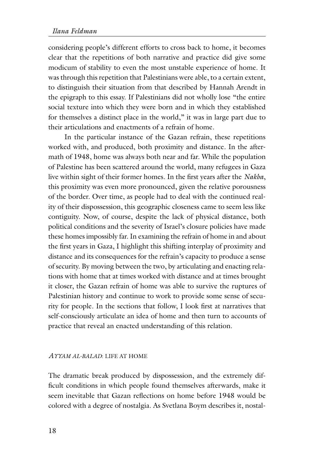considering people's different efforts to cross back to home, it becomes clear that the repetitions of both narrative and practice did give some modicum of stability to even the most unstable experience of home. It was through this repetition that Palestinians were able, to a certain extent, to distinguish their situation from that described by Hannah Arendt in the epigraph to this essay. If Palestinians did not wholly lose "the entire social texture into which they were born and in which they established for themselves a distinct place in the world," it was in large part due to their articulations and enactments of a refrain of home.

In the particular instance of the Gazan refrain, these repetitions worked with, and produced, both proximity and distance. In the aftermath of 1948, home was always both near and far. While the population of Palestine has been scattered around the world, many refugees in Gaza live within sight of their former homes. In the first years after the *Nakba*, this proximity was even more pronounced, given the relative porousness of the border. Over time, as people had to deal with the continued reality of their dispossession, this geographic closeness came to seem less like contiguity. Now, of course, despite the lack of physical distance, both political conditions and the severity of Israel's closure policies have made these homes impossibly far. In examining the refrain of home in and about the first years in Gaza, I highlight this shifting interplay of proximity and distance and its consequences for the refrain's capacity to produce a sense of security. By moving between the two, by articulating and enacting relat tions with home that at times worked with distance and at times brought it closer, the Gazan refrain of home was able to survive the ruptures of Palestinian history and continue to work to provide some sense of secur rity for people. In the sections that follow, I look first at narratives that self-consciously articulate an idea of home and then turn to accounts of practice that reveal an enacted understanding of this relation.

## *Ayyam al-balad*: life at home

The dramatic break produced by dispossession, and the extremely difficult conditions in which people found themselves afterwards, make it seem inevitable that Gazan reflections on home before 1948 would be colored with a degree of nostalgia. As Svetlana Boym describes it, nostal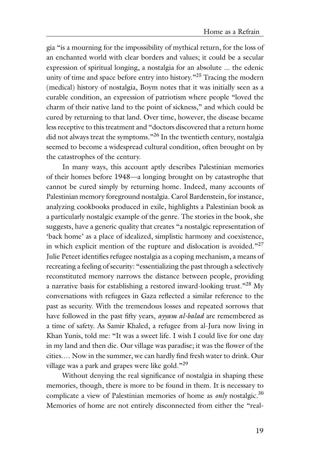gia "is a mourning for the impossibility of mythical return, for the loss of an enchanted world with clear borders and values; it could be a secular expression of spiritual longing, a nostalgia for an absolute ... the edenic unity of time and space before entry into history.<sup>"25</sup> Tracing the modern (medical) history of nostalgia, Boym notes that it was initially seen as a curable condition, an expression of patriotism where people "loved the charm of their native land to the point of sickness," and which could be cured by returning to that land. Over time, however, the disease became less receptive to this treatment and "doctors discovered that a return home did not always treat the symptoms."<sup>26</sup> In the twentieth century, nostalgia seemed to become a widespread cultural condition, often brought on by the catastrophes of the century.

In many ways, this account aptly describes Palestinian memories of their homes before 1948—a longing brought on by catastrophe that cannot be cured simply by returning home. Indeed, many accounts of Palestinian memory foreground nostalgia. Carol Bardenstein, for instance, analyzing cookbooks produced in exile, highlights a Palestinian book as a particularly nostalgic example of the genre. The stories in the book, she suggests, have a generic quality that creates "a nostalgic representation of 'back home' as a place of idealized, simplistic harmony and coexistence, in which explicit mention of the rupture and dislocation is avoided."27 Julie Peteet identifies refugee nostalgia as a coping mechanism, a means of recreating a feeling of security: "essentializing the past through a selectively reconstituted memory narrows the distance between people, providing a narrative basis for establishing a restored inward-looking trust."28 My conversations with refugees in Gaza reflected a similar reference to the past as security. With the tremendous losses and repeated sorrows that have followed in the past fifty years, *ayyam al-balad* are remembered as a time of safety. As Samir Khaled, a refugee from al-Jura now living in Khan Yunis, told me: "It was a sweet life. I wish I could live for one day in my land and then die. Our village was paradise; it was the flower of the cities.… Now in the summer, we can hardly find fresh water to drink. Our village was a park and grapes were like gold."<sup>29</sup>

Without denying the real significance of nostalgia in shaping these memories, though, there is more to be found in them. It is necessary to complicate a view of Palestinian memories of home as *only* nostalgic.<sup>30</sup> Memories of home are not entirely disconnected from either the "real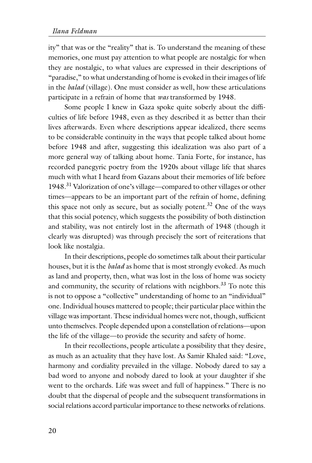ity" that was or the "reality" that is. To understand the meaning of these memories, one must pay attention to what people are nostalgic for when they are nostalgic, to what values are expressed in their descriptions of "paradise," to what understanding of home is evoked in their images of life in the *balad* (village). One must consider as well, how these articulations participate in a refrain of home that *was* transformed by 1948.

Some people I knew in Gaza spoke quite soberly about the difficulties of life before 1948, even as they described it as better than their lives afterwards. Even where descriptions appear idealized, there seems to be considerable continuity in the ways that people talked about home before 1948 and after, suggesting this idealization was also part of a more general way of talking about home. Tania Forte, for instance, has recorded panegyric poetry from the 1920s about village life that shares much with what I heard from Gazans about their memories of life before 1948.31 Valorization of one's village—compared to other villages or other times—appears to be an important part of the refrain of home, defining this space not only as secure, but as socially potent.<sup>32</sup> One of the ways that this social potency, which suggests the possibility of both distinction and stability, was not entirely lost in the aftermath of 1948 (though it clearly was disrupted) was through precisely the sort of reiterations that look like nostalgia.

In their descriptions, people do sometimes talk about their particular houses, but it is the *balad* as home that is most strongly evoked. As much as land and property, then, what was lost in the loss of home was society and community, the security of relations with neighbors.<sup>33</sup> To note this is not to oppose a "collective" understanding of home to an "individual" one. Individual houses mattered to people; their particular place within the village was important. These individual homes were not, though, sufficient unto themselves. People depended upon a constellation of relations—upon the life of the village—to provide the security and safety of home.

In their recollections, people articulate a possibility that they desire, as much as an actuality that they have lost. As Samir Khaled said: "Love, harmony and cordiality prevailed in the village. Nobody dared to say a bad word to anyone and nobody dared to look at your daughter if she went to the orchards. Life was sweet and full of happiness." There is no doubt that the dispersal of people and the subsequent transformations in social relations accord particular importance to these networks of relations.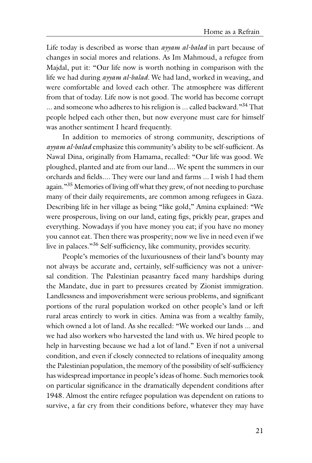Life today is described as worse than *ayyam al-balad* in part because of changes in social mores and relations. As Im Mahmoud, a refugee from Majdal, put it: "Our life now is worth nothing in comparison with the life we had during *ayyam al-balad*. We had land, worked in weaving, and were comfortable and loved each other. The atmosphere was different from that of today. Life now is not good. The world has become corrupt ... and someone who adheres to his religion is ... called backward."<sup>34</sup> That people helped each other then, but now everyone must care for himself was another sentiment I heard frequently.

In addition to memories of strong community, descriptions of *ayyam al-balad* emphasize this community's ability to be self-sufficient. As Nawal Dina, originally from Hamama, recalled: "Our life was good. We ploughed, planted and ate from our land.... We spent the summers in our orchards and fields.... They were our land and farms ... I wish I had them again."<sup>35</sup> Memories of living off what they grew, of not needing to purchase many of their daily requirements, are common among refugees in Gaza. Describing life in her village as being "like gold," Amina explained: "We were prosperous, living on our land, eating figs, prickly pear, grapes and everything. Nowadays if you have money you eat; if you have no money you cannot eat. Then there was prosperity; now we live in need even if we live in palaces."36 Self-sufficiency, like community, provides security.

People's memories of the luxuriousness of their land's bounty may not always be accurate and, certainly, self-sufficiency was not a universal condition. The Palestinian peasantry faced many hardships during the Mandate, due in part to pressures created by Zionist immigration. Landlessness and impoverishment were serious problems, and significant portions of the rural population worked on other people's land or left rural areas entirely to work in cities. Amina was from a wealthy family, which owned a lot of land. As she recalled: "We worked our lands ... and we had also workers who harvested the land with us. We hired people to help in harvesting because we had a lot of land." Even if not a universal condition, and even if closely connected to relations of inequality among the Palestinian population, the memory of the possibility of self-sufficiency has widespread importance in people's ideas of home. Such memories took on particular significance in the dramatically dependent conditions after 1948. Almost the entire refugee population was dependent on rations to survive, a far cry from their conditions before, whatever they may have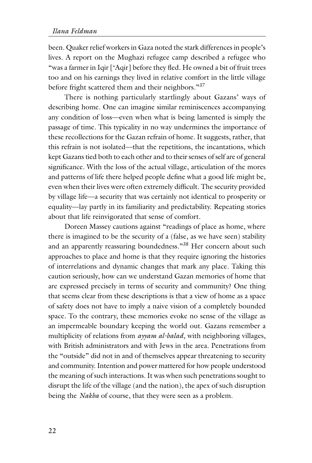been. Quaker relief workers in Gaza noted the stark differences in people's lives. A report on the Mughazi refugee camp described a refugee who "was a farmer in Iqir ['Aqir] before they fled. He owned a bit of fruit trees too and on his earnings they lived in relative comfort in the little village before fright scattered them and their neighbors."<sup>37</sup>

There is nothing particularly startlingly about Gazans' ways of describing home. One can imagine similar reminiscences accompanying any condition of loss—even when what is being lamented is simply the passage of time. This typicality in no way undermines the importance of these recollections for the Gazan refrain of home. It suggests, rather, that this refrain is not isolated—that the repetitions, the incantations, which kept Gazans tied both to each other and to their senses of self are of general significance. With the loss of the actual village, articulation of the mores and patterns of life there helped people define what a good life might be, even when their lives were often extremely difficult. The security provided by village life—a security that was certainly not identical to prosperity or equality—lay partly in its familiarity and predictability. Repeating stories about that life reinvigorated that sense of comfort.

Doreen Massey cautions against "readings of place as home, where there is imagined to be the security of a (false, as we have seen) stability and an apparently reassuring boundedness."<sup>38</sup> Her concern about such approaches to place and home is that they require ignoring the histories of interrelations and dynamic changes that mark any place. Taking this caution seriously, how can we understand Gazan memories of home that are expressed precisely in terms of security and community? One thing that seems clear from these descriptions is that a view of home as a space of safety does not have to imply a naive vision of a completely bounded space. To the contrary, these memories evoke no sense of the village as an impermeable boundary keeping the world out. Gazans remember a multiplicity of relations from *ayyam al-balad*, with neighboring villages, with British administrators and with Jews in the area. Penetrations from the "outside" did not in and of themselves appear threatening to security and community. Intention and power mattered for how people understood the meaning of such interactions. It was when such penetrations sought to disrupt the life of the village (and the nation), the apex of such disruption being the *Nakba* of course, that they were seen as a problem.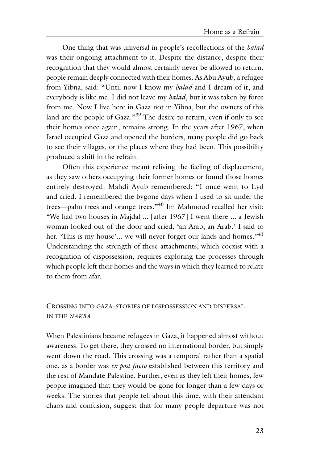One thing that was universal in people's recollections of the *balad* was their ongoing attachment to it. Despite the distance, despite their recognition that they would almost certainly never be allowed to return, people remain deeply connected with their homes. As Abu Ayub, a refugee from Yibna, said: "Until now I know my *balad* and I dream of it, and everybody is like me. I did not leave my *balad*, but it was taken by force from me. Now I live here in Gaza not in Yibna, but the owners of this land are the people of Gaza."<sup>39</sup> The desire to return, even if only to see their homes once again, remains strong. In the years after 1967, when Israel occupied Gaza and opened the borders, many people did go back to see their villages, or the places where they had been. This possibility produced a shift in the refrain.

Often this experience meant reliving the feeling of displacement, as they saw others occupying their former homes or found those homes entirely destroyed. Mahdi Ayub remembered: "I once went to Lyd and cried. I remembered the bygone days when I used to sit under the trees—palm trees and orange trees."<sup>40</sup> Im Mahmoud recalled her visit: "We had two houses in Majdal ... [after 1967] I went there ... a Jewish woman looked out of the door and cried, 'an Arab, an Arab.' I said to her. 'This is my house'... we will never forget our lands and homes."<sup>41</sup> Understanding the strength of these attachments, which coexist with a recognition of dispossession, requires exploring the processes through which people left their homes and the ways in which they learned to relate to them from afar.

## Crossing into gaza: stories of dispossession and dispersal in the *nakba*

When Palestinians became refugees in Gaza, it happened almost without awareness. To get there, they crossed no international border, but simply went down the road. This crossing was a temporal rather than a spatial one, as a border was *ex post facto* established between this territory and the rest of Mandate Palestine. Further, even as they left their homes, few people imagined that they would be gone for longer than a few days or weeks. The stories that people tell about this time, with their attendant chaos and confusion, suggest that for many people departure was not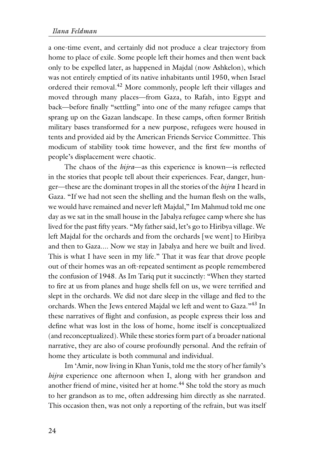a one-time event, and certainly did not produce a clear trajectory from home to place of exile. Some people left their homes and then went back only to be expelled later, as happened in Majdal (now Ashkelon), which was not entirely emptied of its native inhabitants until 1950, when Israel ordered their removal.42 More commonly, people left their villages and moved through many places—from Gaza, to Rafah, into Egypt and back—before finally "settling" into one of the many refugee camps that sprang up on the Gazan landscape. In these camps, often former British military bases transformed for a new purpose, refugees were housed in tents and provided aid by the American Friends Service Committee. This modicum of stability took time however, and the first few months of people's displacement were chaotic.

The chaos of the *hijra*—as this experience is known—is reflected in the stories that people tell about their experiences. Fear, danger, hunger—these are the dominant tropes in all the stories of the *hijra* I heard in Gaza. "If we had not seen the shelling and the human flesh on the walls, we would have remained and never left Majdal," Im Mahmud told me one day as we sat in the small house in the Jabalya refugee camp where she has lived for the past fifty years. "My father said, let's go to Hiribya village. We left Majdal for the orchards and from the orchards [we went] to Hiribya and then to Gaza.... Now we stay in Jabalya and here we built and lived. This is what I have seen in my life." That it was fear that drove people out of their homes was an oft-repeated sentiment as people remembered the confusion of 1948. As Im Tariq put it succinctly: "When they started to fire at us from planes and huge shells fell on us, we were terrified and slept in the orchards. We did not dare sleep in the village and fled to the orchards. When the Jews entered Majdal we left and went to Gaza."43 In these narratives of flight and confusion, as people express their loss and define what was lost in the loss of home, home itself is conceptualized (and reconceptualized). While these stories form part of a broader national narrative, they are also of course profoundly personal. And the refrain of home they articulate is both communal and individual.

Im 'Amir, now living in Khan Yunis, told me the story of her family's *hijra* experience one afternoon when I, along with her grandson and another friend of mine, visited her at home.<sup>44</sup> She told the story as much to her grandson as to me, often addressing him directly as she narrated. This occasion then, was not only a reporting of the refrain, but was itself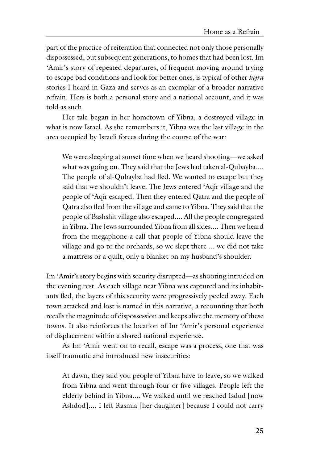part of the practice of reiteration that connected not only those personally dispossessed, but subsequent generations, to homes that had been lost. Im 'Amir's story of repeated departures, of frequent moving around trying to escape bad conditions and look for better ones, is typical of other *hijra* stories I heard in Gaza and serves as an exemplar of a broader narrative refrain. Hers is both a personal story and a national account, and it was told as such.

Her tale began in her hometown of Yibna, a destroyed village in what is now Israel. As she remembers it, Yibna was the last village in the area occupied by Israeli forces during the course of the war:

We were sleeping at sunset time when we heard shooting—we asked what was going on. They said that the Jews had taken al-Qubayba.... The people of al-Qubayba had fled. We wanted to escape but they said that we shouldn't leave. The Jews entered 'Aqir village and the people of 'Aqir escaped. Then they entered Qatra and the people of Qatra also fled from the village and came to Yibna. They said that the people of Bashshit village also escaped.... All the people congregated in Yibna. The Jews surrounded Yibna from all sides.... Then we heard from the megaphone a call that people of Yibna should leave the village and go to the orchards, so we slept there ... we did not take a mattress or a quilt, only a blanket on my husband's shoulder.

Im 'Amir's story begins with security disrupted—as shooting intruded on the evening rest. As each village near Yibna was captured and its inhabitants fled, the layers of this security were progressively peeled away. Each town attacked and lost is named in this narrative, a recounting that both recalls the magnitude of dispossession and keeps alive the memory of these towns. It also reinforces the location of Im 'Amir's personal experience of displacement within a shared national experience.

As Im 'Amir went on to recall, escape was a process, one that was itself traumatic and introduced new insecurities:

At dawn, they said you people of Yibna have to leave, so we walked from Yibna and went through four or five villages. People left the elderly behind in Yibna.... We walked until we reached Isdud [now Ashdod].... I left Rasmia [her daughter] because I could not carry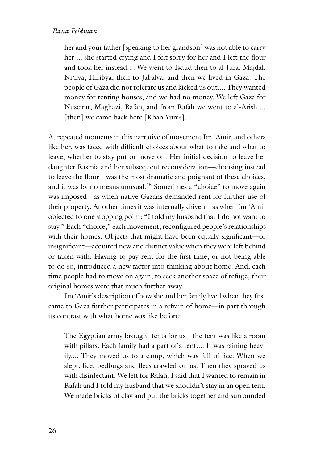her and your father [speaking to her grandson] was not able to carry her ... she started crying and I felt sorry for her and I left the flour and took her instead.... We went to Isdud then to al-Jura, Majdal, Ni'ilya, Hiribya, then to Jabalya, and then we lived in Gaza. The people of Gaza did not tolerate us and kicked us out.... They wanted money for renting houses, and we had no money. We left Gaza for Nuseirat, Maghazi, Rafah, and from Rafah we went to al-Arish ... [then] we came back here [Khan Yunis].

At repeated moments in this narrative of movement Im 'Amir, and others like her, was faced with difficult choices about what to take and what to leave, whether to stay put or move on. Her initial decision to leave her daughter Rasmia and her subsequent reconsideration—choosing instead to leave the flour—was the most dramatic and poignant of these choices, and it was by no means unusual.45 Sometimes a "choice" to move again was imposed—as when native Gazans demanded rent for further use of their property. At other times it was internally driven—as when Im 'Amir objected to one stopping point: "I told my husband that I do not want to stay." Each "choice," each movement, reconfigured people's relationships with their homes. Objects that might have been equally significant—or insignificant—acquired new and distinct value when they were left behind or taken with. Having to pay rent for the first time, or not being able to do so, introduced a new factor into thinking about home. And, each time people had to move on again, to seek another space of refuge, their original homes were that much further away.

Im 'Amir's description of how she and her family lived when they first came to Gaza further participates in a refrain of home—in part through its contrast with what home was like before:

The Egyptian army brought tents for us—the tent was like a room with pillars. Each family had a part of a tent.... It was raining heavily.... They moved us to a camp, which was full of lice. When we slept, lice, bedbugs and fleas crawled on us. Then they sprayed us with disinfectant. We left for Rafah. I said that I wanted to remain in Rafah and I told my husband that we shouldn't stay in an open tent. We made bricks of clay and put the bricks together and surrounded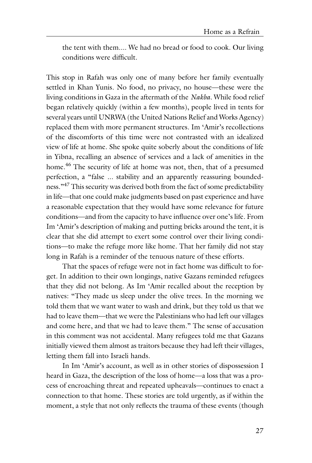the tent with them.... We had no bread or food to cook. Our living conditions were difficult.

This stop in Rafah was only one of many before her family eventually settled in Khan Yunis. No food, no privacy, no house—these were the living conditions in Gaza in the aftermath of the *Nakba*. While food relief began relatively quickly (within a few months), people lived in tents for several years until UNRWA (the United Nations Relief and Works Agency) replaced them with more permanent structures. Im 'Amir's recollections of the discomforts of this time were not contrasted with an idealized view of life at home. She spoke quite soberly about the conditions of life in Yibna, recalling an absence of services and a lack of amenities in the home.<sup>46</sup> The security of life at home was not, then, that of a presumed perfection, a "false ... stability and an apparently reassuring boundedness."<sup>47</sup> This security was derived both from the fact of some predictability in life—that one could make judgments based on past experience and have a reasonable expectation that they would have some relevance for future conditions—and from the capacity to have influence over one's life. From Im 'Amir's description of making and putting bricks around the tent, it is clear that she did attempt to exert some control over their living conditions—to make the refuge more like home. That her family did not stay long in Rafah is a reminder of the tenuous nature of these efforts.

That the spaces of refuge were not in fact home was difficult to forget. In addition to their own longings, native Gazans reminded refugees that they did not belong. As Im 'Amir recalled about the reception by natives: "They made us sleep under the olive trees. In the morning we told them that we want water to wash and drink, but they told us that we had to leave them—that we were the Palestinians who had left our villages and come here, and that we had to leave them." The sense of accusation in this comment was not accidental. Many refugees told me that Gazans initially viewed them almost as traitors because they had left their villages, letting them fall into Israeli hands.

In Im 'Amir's account, as well as in other stories of dispossession I heard in Gaza, the description of the loss of home—a loss that was a process of encroaching threat and repeated upheavals—continues to enact a connection to that home. These stories are told urgently, as if within the moment, a style that not only reflects the trauma of these events (though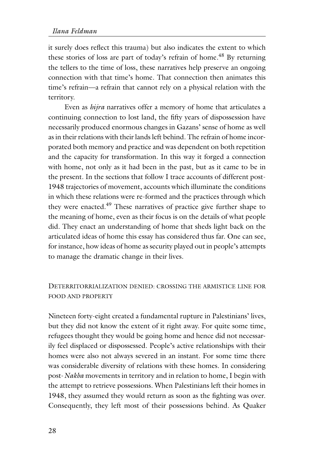it surely does reflect this trauma) but also indicates the extent to which these stories of loss are part of today's refrain of home.<sup>48</sup> By returning the tellers to the time of loss, these narratives help preserve an ongoing connection with that time's home. That connection then animates this time's refrain—a refrain that cannot rely on a physical relation with the territory.

Even as *hijra* narratives offer a memory of home that articulates a continuing connection to lost land, the fifty years of dispossession have necessarily produced enormous changes in Gazans' sense of home as well as in their relations with their lands left behind. The refrain of home incorporated both memory and practice and was dependent on both repetition and the capacity for transformation. In this way it forged a connection with home, not only as it had been in the past, but as it came to be in the present. In the sections that follow I trace accounts of different post-1948 trajectories of movement, accounts which illuminate the conditions in which these relations were re-formed and the practices through which they were enacted.<sup>49</sup> These narratives of practice give further shape to the meaning of home, even as their focus is on the details of what people did. They enact an understanding of home that sheds light back on the articulated ideas of home this essay has considered thus far. One can see, for instance, how ideas of home as security played out in people's attempts to manage the dramatic change in their lives.

## Deterritorrialization denied: crossing the armistice line for food and property

Nineteen forty-eight created a fundamental rupture in Palestinians' lives, but they did not know the extent of it right away. For quite some time, refugees thought they would be going home and hence did not necessarily feel displaced or dispossessed. People's active relationships with their homes were also not always severed in an instant. For some time there was considerable diversity of relations with these homes. In considering post-*Nakba* movements in territory and in relation to home, I begin with the attempt to retrieve possessions. When Palestinians left their homes in 1948, they assumed they would return as soon as the fighting was over. Consequently, they left most of their possessions behind. As Quaker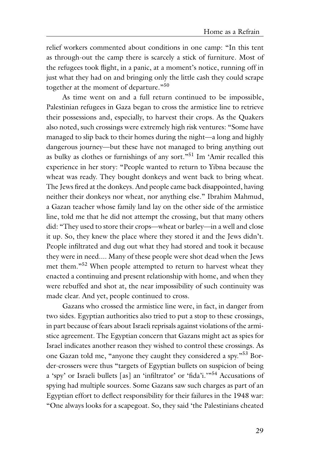relief workers commented about conditions in one camp: "In this tent as through-out the camp there is scarcely a stick of furniture. Most of the refugees took flight, in a panic, at a moment's notice, running off in just what they had on and bringing only the little cash they could scrape together at the moment of departure."<sup>50</sup>

As time went on and a full return continued to be impossible, Palestinian refugees in Gaza began to cross the armistice line to retrieve their possessions and, especially, to harvest their crops. As the Quakers also noted, such crossings were extremely high risk ventures: "Some have managed to slip back to their homes during the night—a long and highly dangerous journey—but these have not managed to bring anything out as bulky as clothes or furnishings of any sort."51 Im 'Amir recalled this experience in her story: "People wanted to return to Yibna because the wheat was ready. They bought donkeys and went back to bring wheat. The Jews fired at the donkeys. And people came back disappointed, having neither their donkeys nor wheat, nor anything else." Ibrahim Mahmud, a Gazan teacher whose family land lay on the other side of the armistice line, told me that he did not attempt the crossing, but that many others did: "They used to store their crops—wheat or barley—in a well and close it up. So, they knew the place where they stored it and the Jews didn't. People infiltrated and dug out what they had stored and took it because they were in need.... Many of these people were shot dead when the Jews met them."52 When people attempted to return to harvest wheat they enacted a continuing and present relationship with home, and when they were rebuffed and shot at, the near impossibility of such continuity was made clear. And yet, people continued to cross.

Gazans who crossed the armistice line were, in fact, in danger from two sides. Egyptian authorities also tried to put a stop to these crossings, in part because of fears about Israeli reprisals against violations of the armistice agreement. The Egyptian concern that Gazans might act as spies for Israel indicates another reason they wished to control these crossings. As one Gazan told me, "anyone they caught they considered a spy."<sup>53</sup> Border-crossers were thus "targets of Egyptian bullets on suspicion of being a 'spy' or Israeli bullets [as] an 'infiltrator' or 'fida'i.'"54 Accusations of spying had multiple sources. Some Gazans saw such charges as part of an Egyptian effort to deflect responsibility for their failures in the 1948 war: "One always looks for a scapegoat. So, they said 'the Palestinians cheated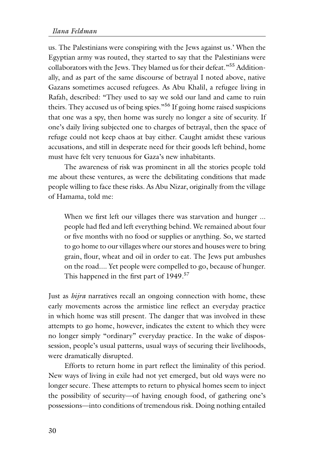us. The Palestinians were conspiring with the Jews against us.' When the Egyptian army was routed, they started to say that the Palestinians were collaborators with the Jews. They blamed us for their defeat."<sup>55</sup> Additionally, and as part of the same discourse of betrayal I noted above, native Gazans sometimes accused refugees. As Abu Khalil, a refugee living in Rafah, described: "They used to say we sold our land and came to ruin theirs. They accused us of being spies."56 If going home raised suspicions that one was a spy, then home was surely no longer a site of security. If one's daily living subjected one to charges of betrayal, then the space of refuge could not keep chaos at bay either. Caught amidst these various accusations, and still in desperate need for their goods left behind, home must have felt very tenuous for Gaza's new inhabitants.

The awareness of risk was prominent in all the stories people told me about these ventures, as were the debilitating conditions that made people willing to face these risks. As Abu Nizar, originally from the village of Hamama, told me:

When we first left our villages there was starvation and hunger ... people had fled and left everything behind. We remained about four or five months with no food or supplies or anything. So, we started to go home to our villages where our stores and houses were to bring grain, flour, wheat and oil in order to eat. The Jews put ambushes on the road.... Yet people were compelled to go, because of hunger. This happened in the first part of 1949.<sup>57</sup>

Just as *hijra* narratives recall an ongoing connection with home, these early movements across the armistice line reflect an everyday practice in which home was still present. The danger that was involved in these attempts to go home, however, indicates the extent to which they were no longer simply "ordinary" everyday practice. In the wake of dispossession, people's usual patterns, usual ways of securing their livelihoods, were dramatically disrupted.

Efforts to return home in part reflect the liminality of this period. New ways of living in exile had not yet emerged, but old ways were no longer secure. These attempts to return to physical homes seem to inject the possibility of security—of having enough food, of gathering one's possessions—into conditions of tremendous risk. Doing nothing entailed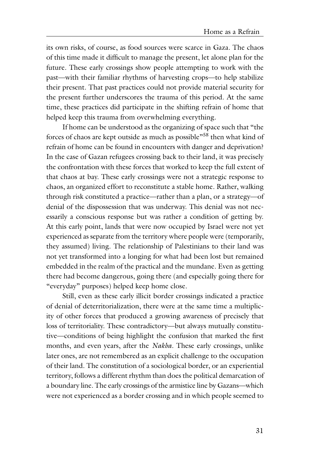its own risks, of course, as food sources were scarce in Gaza. The chaos of this time made it difficult to manage the present, let alone plan for the future. These early crossings show people attempting to work with the past—with their familiar rhythms of harvesting crops—to help stabilize their present. That past practices could not provide material security for the present further underscores the trauma of this period. At the same time, these practices did participate in the shifting refrain of home that helped keep this trauma from overwhelming everything.

If home can be understood as the organizing of space such that "the forces of chaos are kept outside as much as possible"58 then what kind of refrain of home can be found in encounters with danger and deprivation? In the case of Gazan refugees crossing back to their land, it was precisely the confrontation with these forces that worked to keep the full extent of that chaos at bay. These early crossings were not a strategic response to chaos, an organized effort to reconstitute a stable home. Rather, walking through risk constituted a practice—rather than a plan, or a strategy—of denial of the dispossession that was underway. This denial was not necessarily a conscious response but was rather a condition of getting by. At this early point, lands that were now occupied by Israel were not yet experienced as separate from the territory where people were (temporarily, they assumed) living. The relationship of Palestinians to their land was not yet transformed into a longing for what had been lost but remained embedded in the realm of the practical and the mundane. Even as getting there had become dangerous, going there (and especially going there for "everyday" purposes) helped keep home close.

Still, even as these early illicit border crossings indicated a practice of denial of deterritorialization, there were at the same time a multiplici ity of other forces that produced a growing awareness of precisely that loss of territoriality. These contradictory—but always mutually constitutive—conditions of being highlight the confusion that marked the first months, and even years, after the *Nakba*. These early crossings, unlike later ones, are not remembered as an explicit challenge to the occupation of their land. The constitution of a sociological border, or an experiential territory, follows a different rhythm than does the political demarcation of a boundary line. The early crossings of the armistice line by Gazans—which were not experienced as a border crossing and in which people seemed to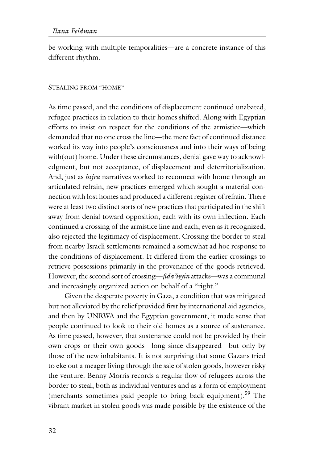be working with multiple temporalities—are a concrete instance of this different rhythm.

## Stealing from "home"

As time passed, and the conditions of displacement continued unabated, refugee practices in relation to their homes shifted. Along with Egyptian efforts to insist on respect for the conditions of the armistice—which demanded that no one cross the line—the mere fact of continued distance worked its way into people's consciousness and into their ways of being with(out) home. Under these circumstances, denial gave way to acknowledgment, but not acceptance, of displacement and deterritorialization. And, just as *hijra* narratives worked to reconnect with home through an articulated refrain, new practices emerged which sought a material connection with lost homes and produced a different register of refrain. There were at least two distinct sorts of new practices that participated in the shift away from denial toward opposition, each with its own inflection. Each continued a crossing of the armistice line and each, even as it recognized, also rejected the legitimacy of displacement. Crossing the border to steal from nearby Israeli settlements remained a somewhat ad hoc response to the conditions of displacement. It differed from the earlier crossings to retrieve possessions primarily in the provenance of the goods retrieved. However, the second sort of crossing—*fida'iyyin* attacks—was a communal and increasingly organized action on behalf of a "right."

Given the desperate poverty in Gaza, a condition that was mitigated but not alleviated by the relief provided first by international aid agencies, and then by UNRWA and the Egyptian government, it made sense that people continued to look to their old homes as a source of sustenance. As time passed, however, that sustenance could not be provided by their own crops or their own goods—long since disappeared—but only by those of the new inhabitants. It is not surprising that some Gazans tried to eke out a meager living through the sale of stolen goods, however risky the venture. Benny Morris records a regular flow of refugees across the border to steal, both as individual ventures and as a form of employment (merchants sometimes paid people to bring back equipment).59 The vibrant market in stolen goods was made possible by the existence of the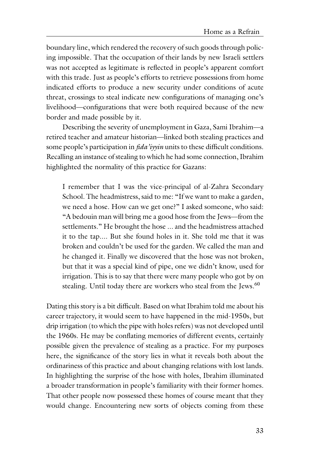boundary line, which rendered the recovery of such goods through polici ing impossible. That the occupation of their lands by new Israeli settlers was not accepted as legitimate is reflected in people's apparent comfort with this trade. Just as people's efforts to retrieve possessions from home indicated efforts to produce a new security under conditions of acute threat, crossings to steal indicate new configurations of managing one's livelihood—configurations that were both required because of the new border and made possible by it.

Describing the severity of unemployment in Gaza, Sami Ibrahim—a retired teacher and amateur historian—linked both stealing practices and some people's participation in *fida'iyyin* units to these difficult conditions. Recalling an instance of stealing to which he had some connection, Ibrahim highlighted the normality of this practice for Gazans:

I remember that I was the vice-principal of al-Zahra Secondary School. The headmistress, said to me: "If we want to make a garden, we need a hose. How can we get one?" I asked someone, who said: "A bedouin man will bring me a good hose from the Jews—from the settlements." He brought the hose ... and the headmistress attached it to the tap.... But she found holes in it. She told me that it was broken and couldn't be used for the garden. We called the man and he changed it. Finally we discovered that the hose was not broken, but that it was a special kind of pipe, one we didn't know, used for irrigation. This is to say that there were many people who got by on stealing. Until today there are workers who steal from the Jews.<sup>60</sup>

Dating this story is a bit difficult. Based on what Ibrahim told me about his career trajectory, it would seem to have happened in the mid-1950s, but drip irrigation (to which the pipe with holes refers) was not developed until the 1960s. He may be conflating memories of different events, certainly possible given the prevalence of stealing as a practice. For my purposes here, the significance of the story lies in what it reveals both about the ordinariness of this practice and about changing relations with lost lands. In highlighting the surprise of the hose with holes, Ibrahim illuminated a broader transformation in people's familiarity with their former homes. That other people now possessed these homes of course meant that they would change. Encountering new sorts of objects coming from these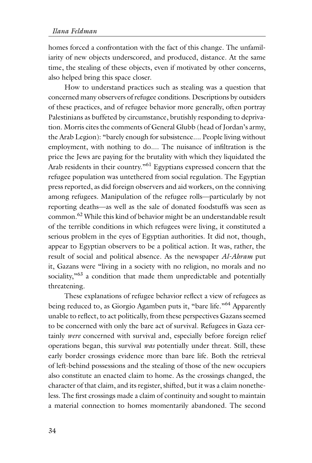homes forced a confrontation with the fact of this change. The unfamiliarity of new objects underscored, and produced, distance. At the same time, the stealing of these objects, even if motivated by other concerns, also helped bring this space closer.

How to understand practices such as stealing was a question that concerned many observers of refugee conditions. Descriptions by outsiders of these practices, and of refugee behavior more generally, often portray Palestinians as buffeted by circumstance, brutishly responding to deprivation. Morris cites the comments of General Glubb (head of Jordan's army, the Arab Legion): "barely enough for subsistence.... People living without employment, with nothing to do.... The nuisance of infiltration is the price the Jews are paying for the brutality with which they liquidated the Arab residents in their country."61 Egyptians expressed concern that the refugee population was untethered from social regulation. The Egyptian press reported, as did foreign observers and aid workers, on the conniving among refugees. Manipulation of the refugee rolls—particularly by not reporting deaths—as well as the sale of donated foodstuffs was seen as common.62 While this kind of behavior might be an understandable result of the terrible conditions in which refugees were living, it constituted a serious problem in the eyes of Egyptian authorities. It did not, though, appear to Egyptian observers to be a political action. It was, rather, the result of social and political absence. As the newspaper *Al-Ahram* put it, Gazans were "living in a society with no religion, no morals and no sociality,"<sup>63</sup> a condition that made them unpredictable and potentially threatening.

These explanations of refugee behavior reflect a view of refugees as being reduced to, as Giorgio Agamben puts it, "bare life."<sup>64</sup> Apparently unable to reflect, to act politically, from these perspectives Gazans seemed to be concerned with only the bare act of survival. Refugees in Gaza certainly *were* concerned with survival and, especially before foreign relief operations began, this survival *was* potentially under threat. Still, these early border crossings evidence more than bare life. Both the retrieval of left-behind possessions and the stealing of those of the new occupiers also constitute an enacted claim to home. As the crossings changed, the character of that claim, and its register, shifted, but it was a claim nonethel less. The first crossings made a claim of continuity and sought to maintain a material connection to homes momentarily abandoned. The second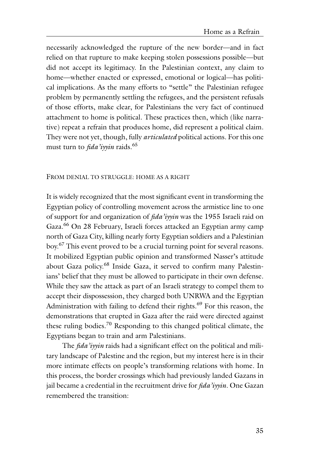necessarily acknowledged the rupture of the new border—and in fact relied on that rupture to make keeping stolen possessions possible—but did not accept its legitimacy. In the Palestinian context, any claim to home—whether enacted or expressed, emotional or logical—has political implications. As the many efforts to "settle" the Palestinian refugee problem by permanently settling the refugees, and the persistent refusals of those efforts, make clear, for Palestinians the very fact of continued attachment to home is political. These practices then, which (like narrat tive) repeat a refrain that produces home, did represent a political claim. They were not yet, though, fully *articulated* political actions. For this one must turn to *fida'iyyin* raids.65

### From denial to struggle: home as a right

It is widely recognized that the most significant event in transforming the Egyptian policy of controlling movement across the armistice line to one of support for and organization of *fida'iyyin* was the 1955 Israeli raid on Gaza.<sup>66</sup> On 28 February, Israeli forces attacked an Egyptian army camp north of Gaza City, killing nearly forty Egyptian soldiers and a Palestinian boy.67 This event proved to be a crucial turning point for several reasons. It mobilized Egyptian public opinion and transformed Nasser's attitude about Gaza policy.<sup>68</sup> Inside Gaza, it served to confirm many Palestinians' belief that they must be allowed to participate in their own defense. While they saw the attack as part of an Israeli strategy to compel them to accept their dispossession, they charged both UNRWA and the Egyptian Administration with failing to defend their rights.<sup>69</sup> For this reason, the demonstrations that erupted in Gaza after the raid were directed against these ruling bodies.70 Responding to this changed political climate, the Egyptians began to train and arm Palestinians.

The *fida'iyyin* raids had a significant effect on the political and military landscape of Palestine and the region, but my interest here is in their more intimate effects on people's transforming relations with home. In this process, the border crossings which had previously landed Gazans in jail became a credential in the recruitment drive for *fida'iyyin*. One Gazan remembered the transition: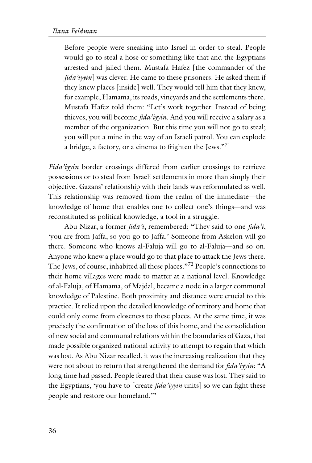Before people were sneaking into Israel in order to steal. People would go to steal a hose or something like that and the Egyptians arrested and jailed them. Mustafa Hafez [the commander of the *fida'iyyin*] was clever. He came to these prisoners. He asked them if they knew places [inside] well. They would tell him that they knew, for example, Hamama, its roads, vineyards and the settlements there. Mustafa Hafez told them: "Let's work together. Instead of being thieves, you will become *fida'iyyin*. And you will receive a salary as a member of the organization. But this time you will not go to steal; you will put a mine in the way of an Israeli patrol. You can explode a bridge, a factory, or a cinema to frighten the Jews."<sup>71</sup>

*Fida'iyyin* border crossings differed from earlier crossings to retrieve possessions or to steal from Israeli settlements in more than simply their objective. Gazans' relationship with their lands was reformulated as well. This relationship was removed from the realm of the immediate—the knowledge of home that enables one to collect one's things—and was reconstituted as political knowledge, a tool in a struggle.

Abu Nizar, a former *fida'i*, remembered: "They said to one *fida'i*, 'you are from Jaffa, so you go to Jaffa.' Someone from Askelon will go there. Someone who knows al-Faluja will go to al-Faluja—and so on. Anyone who knew a place would go to that place to attack the Jews there. The Jews, of course, inhabited all these places."72 People's connections to their home villages were made to matter at a national level. Knowledge of al-Faluja, of Hamama, of Majdal, became a node in a larger communal knowledge of Palestine. Both proximity and distance were crucial to this practice. It relied upon the detailed knowledge of territory and home that could only come from closeness to these places. At the same time, it was precisely the confirmation of the loss of this home, and the consolidation of new social and communal relations within the boundaries of Gaza, that made possible organized national activity to attempt to regain that which was lost. As Abu Nizar recalled, it was the increasing realization that they were not about to return that strengthened the demand for *fida'iyyin*: "A long time had passed. People feared that their cause was lost. They said to the Egyptians, 'you have to [create *fida'iyyin* units] so we can fight these people and restore our homeland.'"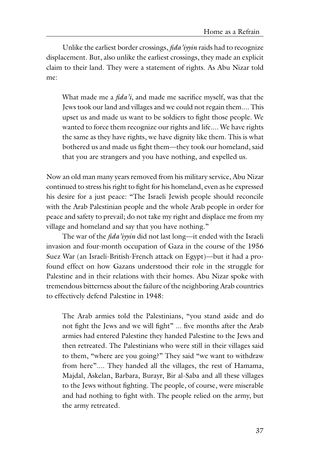Unlike the earliest border crossings, *fida'iyyin* raids had to recognize displacement. But, also unlike the earliest crossings, they made an explicit claim to their land. They were a statement of rights. As Abu Nizar told me:

What made me a *fida'i*, and made me sacrifice myself, was that the Jews took our land and villages and we could not regain them.... This upset us and made us want to be soldiers to fight those people. We wanted to force them recognize our rights and life.... We have rights the same as they have rights, we have dignity like them. This is what bothered us and made us fight them—they took our homeland, said that you are strangers and you have nothing, and expelled us.

Now an old man many years removed from his military service, Abu Nizar continued to stress his right to fight for his homeland, even as he expressed his desire for a just peace: "The Israeli Jewish people should reconcile with the Arab Palestinian people and the whole Arab people in order for peace and safety to prevail; do not take my right and displace me from my village and homeland and say that you have nothing."

The war of the *fida'iyyin* did not last long—it ended with the Israeli invasion and four-month occupation of Gaza in the course of the 1956 Suez War (an Israeli-British-French attack on Egypt)—but it had a profound effect on how Gazans understood their role in the struggle for Palestine and in their relations with their homes. Abu Nizar spoke with tremendous bitterness about the failure of the neighboring Arab countries to effectively defend Palestine in 1948:

The Arab armies told the Palestinians, "you stand aside and do not fight the Jews and we will fight" ... five months after the Arab armies had entered Palestine they handed Palestine to the Jews and then retreated. The Palestinians who were still in their villages said to them, "where are you going?" They said "we want to withdraw from here".... They handed all the villages, the rest of Hamama, Majdal, Askelan, Barbara, Burayr, Bir al-Saba and all these villages to the Jews without fighting. The people, of course, were miserable and had nothing to fight with. The people relied on the army, but the army retreated.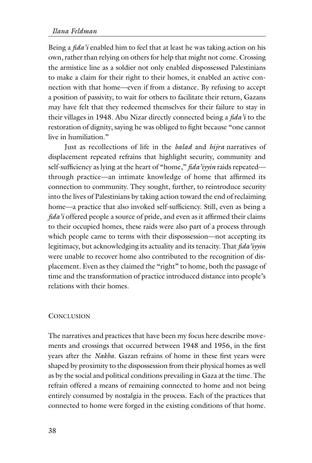Being a *fida'i* enabled him to feel that at least he was taking action on his own, rather than relying on others for help that might not come. Crossing the armistice line as a soldier not only enabled dispossessed Palestinians to make a claim for their right to their homes, it enabled an active connection with that home—even if from a distance. By refusing to accept a position of passivity, to wait for others to facilitate their return, Gazans may have felt that they redeemed themselves for their failure to stay in their villages in 1948. Abu Nizar directly connected being a *fida'i* to the restoration of dignity, saying he was obliged to fight because "one cannot live in humiliation."

Just as recollections of life in the *balad* and *hijra* narratives of displacement repeated refrains that highlight security, community and self-sufficiency as lying at the heart of "home," *fida'iyyin* raids repeated through practice—an intimate knowledge of home that affirmed its connection to community. They sought, further, to reintroduce security into the lives of Palestinians by taking action toward the end of reclaiming home—a practice that also invoked self-sufficiency. Still, even as being a *fida'i* offered people a source of pride, and even as it affirmed their claims to their occupied homes, these raids were also part of a process through which people came to terms with their dispossession—not accepting its legitimacy, but acknowledging its actuality and its tenacity. That *fida'iyyin* were unable to recover home also contributed to the recognition of displacement. Even as they claimed the "right" to home, both the passage of time and the transformation of practice introduced distance into people's relations with their homes.

## **CONCLUSION**

The narratives and practices that have been my focus here describe movements and crossings that occurred between 1948 and 1956, in the first years after the *Nakba*. Gazan refrains of home in these first years were shaped by proximity to the dispossession from their physical homes as well as by the social and political conditions prevailing in Gaza at the time. The refrain offered a means of remaining connected to home and not being entirely consumed by nostalgia in the process. Each of the practices that connected to home were forged in the existing conditions of that home.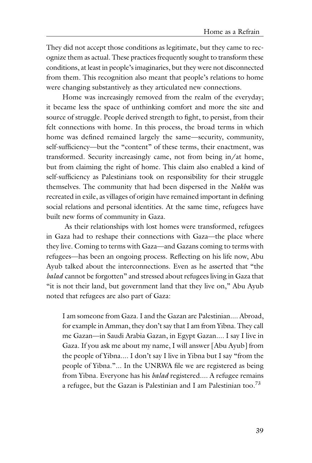They did not accept those conditions as legitimate, but they came to recognize them as actual. These practices frequently sought to transform these conditions, at least in people's imaginaries, but they were not disconnected from them. This recognition also meant that people's relations to home were changing substantively as they articulated new connections.

Home was increasingly removed from the realm of the everyday; it became less the space of unthinking comfort and more the site and source of struggle. People derived strength to fight, to persist, from their felt connections with home. In this process, the broad terms in which home was defined remained largely the same—security, community, self-sufficiency—but the "content" of these terms, their enactment, was transformed. Security increasingly came, not from being in/at home, but from claiming the right of home. This claim also enabled a kind of self-sufficiency as Palestinians took on responsibility for their struggle themselves. The community that had been dispersed in the *Nakba* was recreated in exile, as villages of origin have remained important in defining social relations and personal identities. At the same time, refugees have built new forms of community in Gaza.

 As their relationships with lost homes were transformed, refugees in Gaza had to reshape their connections with Gaza—the place where they live. Coming to terms with Gaza—and Gazans coming to terms with refugees—has been an ongoing process. Reflecting on his life now, Abu Ayub talked about the interconnections. Even as he asserted that "the *balad* cannot be forgotten" and stressed about refugees living in Gaza that "it is not their land, but government land that they live on," Abu Ayub noted that refugees are also part of Gaza:

I am someone from Gaza. I and the Gazan are Palestinian.... Abroad, for example in Amman, they don't say that I am from Yibna. They call me Gazan—in Saudi Arabia Gazan, in Egypt Gazan.... I say I live in Gaza. If you ask me about my name, I will answer [Abu Ayub] from the people of Yibna.... I don't say I live in Yibna but I say "from the people of Yibna."... In the UNRWA file we are registered as being from Yibna. Everyone has his *balad* registered.... A refugee remains a refugee, but the Gazan is Palestinian and I am Palestinian too.<sup>73</sup>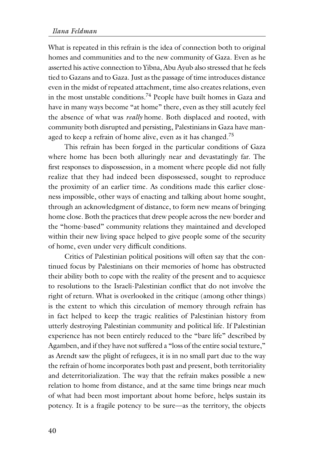What is repeated in this refrain is the idea of connection both to original homes and communities and to the new community of Gaza. Even as he asserted his active connection to Yibna, Abu Ayub also stressed that he feels tied to Gazans and to Gaza. Just as the passage of time introduces distance even in the midst of repeated attachment, time also creates relations, even in the most unstable conditions.74 People have built homes in Gaza and have in many ways become "at home" there, even as they still acutely feel the absence of what was *really* home. Both displaced and rooted, with community both disrupted and persisting, Palestinians in Gaza have managed to keep a refrain of home alive, even as it has changed.<sup>75</sup>

This refrain has been forged in the particular conditions of Gaza where home has been both alluringly near and devastatingly far. The first responses to dispossession, in a moment where people did not fully realize that they had indeed been dispossessed, sought to reproduce the proximity of an earlier time. As conditions made this earlier closeness impossible, other ways of enacting and talking about home sought, through an acknowledgment of distance, to form new means of bringing home close. Both the practices that drew people across the new border and the "home-based" community relations they maintained and developed within their new living space helped to give people some of the security of home, even under very difficult conditions.

Critics of Palestinian political positions will often say that the continued focus by Palestinians on their memories of home has obstructed their ability both to cope with the reality of the present and to acquiesce to resolutions to the Israeli-Palestinian conflict that do not involve the right of return. What is overlooked in the critique (among other things) is the extent to which this circulation of memory through refrain has in fact helped to keep the tragic realities of Palestinian history from utterly destroying Palestinian community and political life. If Palestinian experience has not been entirely reduced to the "bare life" described by Agamben, and if they have not suffered a "loss of the entire social texture," as Arendt saw the plight of refugees, it is in no small part due to the way the refrain of home incorporates both past and present, both territoriality and deterritorialization. The way that the refrain makes possible a new relation to home from distance, and at the same time brings near much of what had been most important about home before, helps sustain its potency. It is a fragile potency to be sure—as the territory, the objects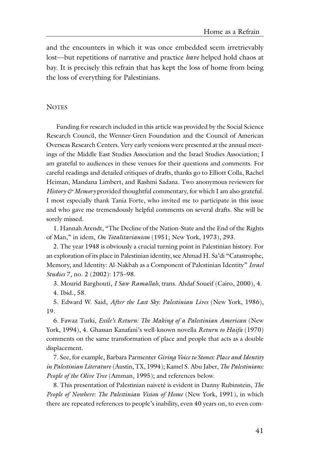and the encounters in which it was once embedded seem irretrievably lost—but repetitions of narrative and practice *have* helped hold chaos at bay. It is precisely this refrain that has kept the loss of home from being the loss of everything for Palestinians.

### **NOTES**

Funding for research included in this article was provided by the Social Science Research Council, the Wenner-Gren Foundation and the Council of American Overseas Research Centers. Very early versions were presented at the annual meetings of the Middle East Studies Association and the Israel Studies Association; I am grateful to audiences in these venues for their questions and comments. For careful readings and detailed critiques of drafts, thanks go to Elliott Colla, Rachel Heiman, Mandana Limbert, and Rashmi Sadana. Two anonymous reviewers for *History & Memory* provided thoughtful commentary, for which I am also grateful. I most especially thank Tania Forte, who invited me to participate in this issue and who gave me tremendously helpful comments on several drafts. She will be sorely missed.

1. Hannah Arendt, "The Decline of the Nation-State and the End of the Rights of Man," in idem, *On Totalitarianism* (1951; New York, 1973), 293.

2. The year 1948 is obviously a crucial turning point in Palestinian history. For an exploration of its place in Palestinian identity, see Ahmad H. Sa'di "Catastrophe, Memory, and Identity: Al-Nakbah as a Component of Palestinian Identity" *Israel Studies* 7, no. 2 (2002): 175–98.

3. Mourid Barghouti, *I Saw Ramallah*, trans. Ahdaf Soueif (Cairo, 2000), 4. 4. Ibid., 58.

5. Edward W. Said, *After the Last Sky: Palestinian Lives* (New York, 1986), 19.

6. Fawaz Turki, *Exile's Return: The Making of a Palestinian American* (New York, 1994), 4. Ghassan Kanafani's well-known novella *Return to Haifa* (1970) comments on the same transformation of place and people that acts as a double displacement.

7. See, for example, Barbara Parmenter *Giving Voice to Stones: Place and Identity in Palestinian Literature* (Austin, TX, 1994); Kamel S. Abu Jaber, *The Palestinians: People of the Olive Tree* (Amman, 1995); and references below.

8. This presentation of Palestinian naiveté is evident in Danny Rubinstein, *The People of Nowhere: The Palestinian Vision of Home* (New York, 1991), in which there are repeated references to people's inability, even 40 years on, to even com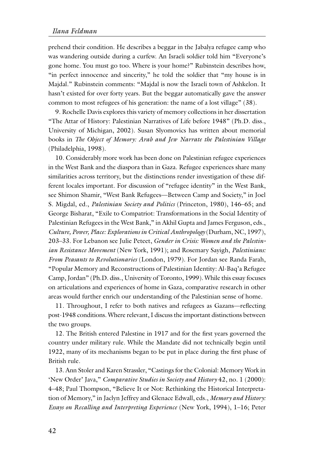prehend their condition. He describes a beggar in the Jabalya refugee camp who was wandering outside during a curfew. An Israeli soldier told him "Everyone's gone home. You must go too. Where is your home?" Rubinstein describes how, "in perfect innocence and sincerity," he told the soldier that "my house is in Majdal." Rubinstein comments: "Majdal is now the Israeli town of Ashkelon. It hasn't existed for over forty years. But the beggar automatically gave the answer common to most refugees of his generation: the name of a lost village" (38).

9. Rochelle Davis explores this variety of memory collections in her dissertation "The Attar of History: Palestinian Narratives of Life before 1948" (Ph.D. diss., University of Michigan, 2002). Susan Slyomovics has written about memorial books in *The Object of Memory: Arab and Jew Narrate the Palestinian Village* (Philadelphia, 1998).

10. Considerably more work has been done on Palestinian refugee experiences in the West Bank and the diaspora than in Gaza. Refugee experiences share many similarities across territory, but the distinctions render investigation of these different locales important. For discussion of "refugee identity" in the West Bank, see Shimon Shamir, "West Bank Refugees—Between Camp and Society," in Joel S. Migdal, ed., *Palestinian Society and Politics* (Princeton, 1980), 146–65; and George Bisharat, "Exile to Compatriot: Transformations in the Social Identity of Palestinian Refugees in the West Bank," in Akhil Gupta and James Ferguson, eds., *Culture, Power, Place: Explorations in Critical Anthropology* (Durham, NC, 1997), 203–33. For Lebanon see Julie Peteet, *Gender in Crisis: Women and the Palestini ian Resistance Movement* (New York, 1991); and Rosemary Sayigh, *Palestinians: From Peasants to Revolutionaries* (London, 1979). For Jordan see Randa Farah, "Popular Memory and Reconstructions of Palestinian Identity: Al-Baq'a Refugee Camp, Jordan" (Ph.D. diss., University of Toronto, 1999). While this essay focuses on articulations and experiences of home in Gaza, comparative research in other areas would further enrich our understanding of the Palestinian sense of home.

11. Throughout, I refer to both natives and refugees as Gazans—reflecting post-1948 conditions. Where relevant, I discuss the important distinctions between the two groups.

12. The British entered Palestine in 1917 and for the first years governed the country under military rule. While the Mandate did not technically begin until 1922, many of its mechanisms began to be put in place during the first phase of British rule.

13. Ann Stoler and Karen Strassler, "Castings for the Colonial: Memory Work in 'New Order' Java," *Comparative Studies in Society and History* 42, no. 1 (2000): 4–48; Paul Thompson, "Believe It or Not: Rethinking the Historical Interpretat tion of Memory," in Jaclyn Jeffrey and Glenace Edwall, eds., *Memory and History: Essays on Recalling and Interpreting Experience* (New York, 1994), 1–16; Peter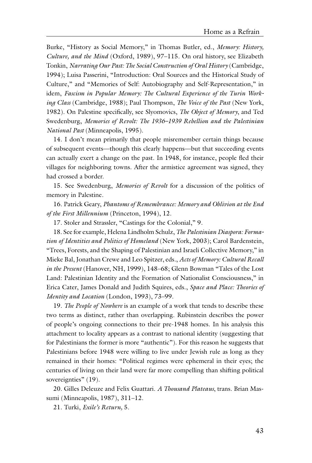Burke, "History as Social Memory," in Thomas Butler, ed., *Memory: History, Culture, and the Mind* (Oxford, 1989), 97–115. On oral history, see Elizabeth Tonkin, *Narrating Our Past: The Social Construction of Oral History* (Cambridge, 1994); Luisa Passerini, "Introduction: Oral Sources and the Historical Study of Culture," and "Memories of Self: Autobiography and Self-Representation," in idem, Fascism in Popular Memory: The Cultural Experience of the Turin Work*ing Class* (Cambridge, 1988); Paul Thompson, *The Voice of the Past* (New York, 1982). On Palestine specifically, see Slyomovics, *The Object of Memory*, and Ted Swedenburg, *Memories of Revolt: The 1936–1939 Rebellion and the Palestinian National Past* (Minneapolis, 1995).

14. I don't mean primarily that people misremember certain things because of subsequent events—though this clearly happens—but that succeeding events can actually exert a change on the past. In 1948, for instance, people fled their villages for neighboring towns. After the armistice agreement was signed, they had crossed a border.

15. See Swedenburg, *Memories of Revolt* for a discussion of the politics of memory in Palestine.

16. Patrick Geary, *Phantoms of Remembrance: Memory and Oblivion at the End of the First Millennium* (Princeton, 1994), 12.

17. Stoler and Strassler, "Castings for the Colonial," 9.

18. See for example, Helena Lindholm Schulz, *The Palestinian Diaspora: Format tion of Identities and Politics of Homeland* (New York, 2003); Carol Bardenstein, "Trees, Forests, and the Shaping of Palestinian and Israeli Collective Memory," in Mieke Bal, Jonathan Crewe and Leo Spitzer, eds., *Acts of Memory: Cultural Recall in the Present* (Hanover, NH, 1999), 148–68; Glenn Bowman "Tales of the Lost Land: Palestinian Identity and the Formation of Nationalist Consciousness," in Erica Cater, James Donald and Judith Squires, eds., *Space and Place: Theories of Identity and Location* (London, 1993), 73–99.

19. *The People of Nowhere* is an example of a work that tends to describe these two terms as distinct, rather than overlapping. Rubinstein describes the power of people's ongoing connections to their pre-1948 homes. In his analysis this attachment to locality appears as a contrast to national identity (suggesting that for Palestinians the former is more "authentic"). For this reason he suggests that Palestinians before 1948 were willing to live under Jewish rule as long as they remained in their homes: "Political regimes were ephemeral in their eyes; the centuries of living on their land were far more compelling than shifting political sovereignties" (19).

20. Gilles Deleuze and Felix Guattari. *A Thousand Plateaus*, trans. Brian Mass sumi (Minneapolis, 1987), 311–12.

21. Turki, *Exile's Return,* 5.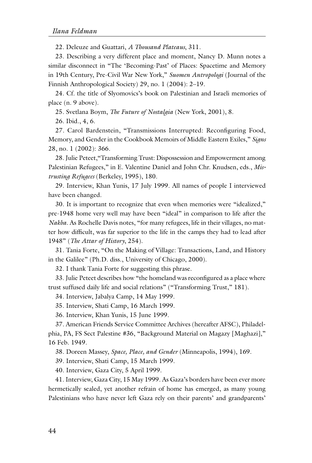22. Deleuze and Guattari, *A Thousand Plateaus*, 311.

23. Describing a very different place and moment, Nancy D. Munn notes a similar disconnect in "The 'Becoming-Past' of Places: Spacetime and Memory in 19th Century, Pre-Civil War New York," *Suomen Antropologi* (Journal of the Finnish Anthropological Society) 29, no. 1 (2004): 2–19.

24. Cf. the title of Slyomovics's book on Palestinian and Israeli memories of place (n. 9 above).

25. Svetlana Boym, *The Future of Nostalgia* (New York, 2001), 8.

26. Ibid., 4, 6.

27. Carol Bardenstein, "Transmissions Interrupted: Reconfiguring Food, Memory, and Gender in the Cookbook Memoirs of Middle Eastern Exiles," *Signs* 28, no. 1 (2002): 366.

28. Julie Peteet,"Transforming Trust: Dispossession and Empowerment among Palestinian Refugees," in E. Valentine Daniel and John Chr. Knudsen, eds., *Mist trusting Refugees* (Berkeley, 1995), 180.

29. Interview, Khan Yunis, 17 July 1999. All names of people I interviewed have been changed.

30. It is important to recognize that even when memories were "idealized," pre-1948 home very well may have been "ideal" in comparison to life after the *Nakba*. As Rochelle Davis notes, "for many refugees, life in their villages, no matter how difficult, was far superior to the life in the camps they had to lead after 1948" (*The Attar of History*, 254).

31. Tania Forte, "On the Making of Village: Transactions, Land, and History in the Galilee" (Ph.D. diss., University of Chicago, 2000).

32. I thank Tania Forte for suggesting this phrase.

33. Julie Peteet describes how "the homeland was reconfigured as a place where trust suffused daily life and social relations" ("Transforming Trust," 181).

34. Interview, Jabalya Camp, 14 May 1999.

35. Interview, Shati Camp, 16 March 1999.

36. Interview, Khan Yunis, 15 June 1999.

37. American Friends Service Committee Archives (hereafter AFSC), Philadelphia, PA, FS Sect Palestine #36, "Background Material on Magazy [Maghazi]," 16 Feb. 1949.

38. Doreen Massey, *Space, Place, and Gender* (Minneapolis, 1994), 169.

39. Interview, Shati Camp, 15 March 1999.

40. Interview, Gaza City, 5 April 1999.

41. Interview, Gaza City, 15 May 1999. As Gaza's borders have been ever more hermetically sealed, yet another refrain of home has emerged, as many young Palestinians who have never left Gaza rely on their parents' and grandparents'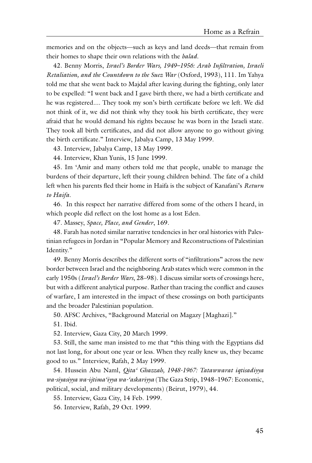memories and on the objects—such as keys and land deeds—that remain from their homes to shape their own relations with the *balad*.

42. Benny Morris, *Israel's Border Wars, 1949–1956: Arab Infiltration, Israeli Retaliation, and the Countdown to the Suez War* (Oxford, 1993), 111. Im Yahya told me that she went back to Majdal after leaving during the fighting, only later to be expelled: "I went back and I gave birth there, we had a birth certificate and he was registered.... They took my son's birth certificate before we left. We did not think of it, we did not think why they took his birth certificate, they were afraid that he would demand his rights because he was born in the Israeli state. They took all birth certificates, and did not allow anyone to go without giving the birth certificate." Interview, Jabalya Camp, 13 May 1999.

43. Interview, Jabalya Camp, 13 May 1999.

44. Interview, Khan Yunis, 15 June 1999.

45. Im 'Amir and many others told me that people, unable to manage the burdens of their departure, left their young children behind. The fate of a child left when his parents fled their home in Haifa is the subject of Kanafani's *Return to Haifa*.

46. In this respect her narrative differed from some of the others I heard, in which people did reflect on the lost home as a lost Eden.

47. Massey, *Space, Place, and Gender*, 169.

48. Farah has noted similar narrative tendencies in her oral histories with Palest tinian refugees in Jordan in "Popular Memory and Reconstructions of Palestinian Identity."

49. Benny Morris describes the different sorts of "infiltrations" across the new border between Israel and the neighboring Arab states which were common in the early 1950s (*Israel's Border Wars*, 28–98). I discuss similar sorts of crossings here, but with a different analytical purpose. Rather than tracing the conflict and causes of warfare, I am interested in the impact of these crossings on both participants and the broader Palestinian population.

50. AFSC Archives, "Background Material on Magazy [Maghazi]."

51. Ibid.

52. Interview, Gaza City, 20 March 1999.

53. Still, the same man insisted to me that "this thing with the Egyptians did not last long, for about one year or less. When they really knew us, they became good to us." Interview, Rafah, 2 May 1999.

54. Hussein Abu Naml, *Qita' Ghazzah, 1948-1967: Tatawwarat iqtisadiyya wa-siyasiyya wa-ijtima'iyya wa-'askariyya* (The Gaza Strip, 1948–1967: Economic, political, social, and military developments) (Beirut, 1979), 44.

55. Interview, Gaza City, 14 Feb. 1999.

56. Interview, Rafah, 29 Oct. 1999.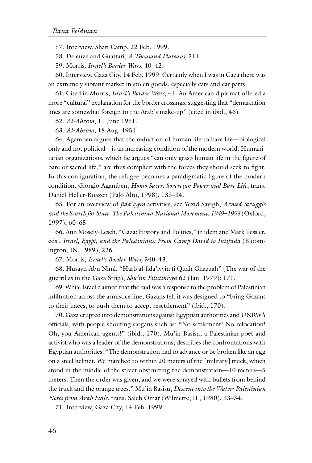57. Interview, Shati Camp, 22 Feb. 1999.

58. Deleuze and Guattari, *A Thousand Plateaus*, 311.

59. Morris*, Israel's Border Wars*, 40–42.

60. Interview, Gaza City, 14 Feb. 1999. Certainly when I was in Gaza there was an extremely vibrant market in stolen goods, especially cars and car parts.

61. Cited in Morris, *Israel's Border Wars*, 41. An American diplomat offered a more "cultural" explanation for the border crossings, suggesting that "demarcation lines are somewhat foreign to the Arab's make-up" (cited in ibid., 46).

62. *Al-Ahram*, 11 June 1951.

63. *Al-Ahram*, 18 Aug. 1951.

64. Agamben argues that the reduction of human life to bare life—biological only and not political—is an increasing condition of the modern world. Humanitarian organizations, which he argues "can only grasp human life in the figure of bare or sacred life," are thus complicit with the forces they should seek to fight. In this configuration, the refugee becomes a paradigmatic figure of the modern condition. Giorgio Agamben, *Homo Sacer: Sovereign Power and Bare Life*, trans. Daniel Heller-Roazen (Palo Alto, 1998), 133–34.

65. For an overview of *fida'iyyin* activities, see Yezid Sayigh, *Armed Struggle and the Search for State: The Palestinian National Movement, 1949–1993* (Oxford, 1997), 60–65.

66. Ann Mosely-Lesch, "Gaza: History and Politics," in idem and Mark Tessler, eds., *Israel, Egypt, and the Palestinians: From Camp David to Intifada* (Bloomi ington, IN, 1989), 226.

67. Morris, *Israel's Border Wars,* 340–43.

68. Husayn Abu Niml, "Harb al-fida'iyyin fi Qitah Ghazzah" (The war of the guerrillas in the Gaza Strip), *Shu'un Filistiniyya* 62 (Jan. 1979): 171.

69. While Israel claimed that the raid was a response to the problem of Palestinian infiltration across the armistice line, Gazans felt it was designed to "bring Gazans to their knees, to push them to accept resettlement" (ibid., 170).

70. Gaza erupted into demonstrations against Egyptian authorities and UNRWA officials, with people shouting slogans such as: "No settlement! No relocation! Oh, you American agents!" (ibid., 170). Mu'in Basisu, a Palestinian poet and activist who was a leader of the demonstrations, describes the confrontations with Egyptian authorities: "The demonstration had to advance or be broken like an egg on a steel helmet. We marched to within 20 meters of the [military] truck, which stood in the middle of the street obstructing the demonstration—10 meters—5 meters. Then the order was given, and we were sprayed with bullets from behind the truck and the orange trees." Mu'in Basisu, *Descent into the Water: Palestinian Notes from Arab Exile*, trans. Saleh Omar (Wilmette, IL, 1980), 33–34.

71. Interview, Gaza City, 14 Feb. 1999.